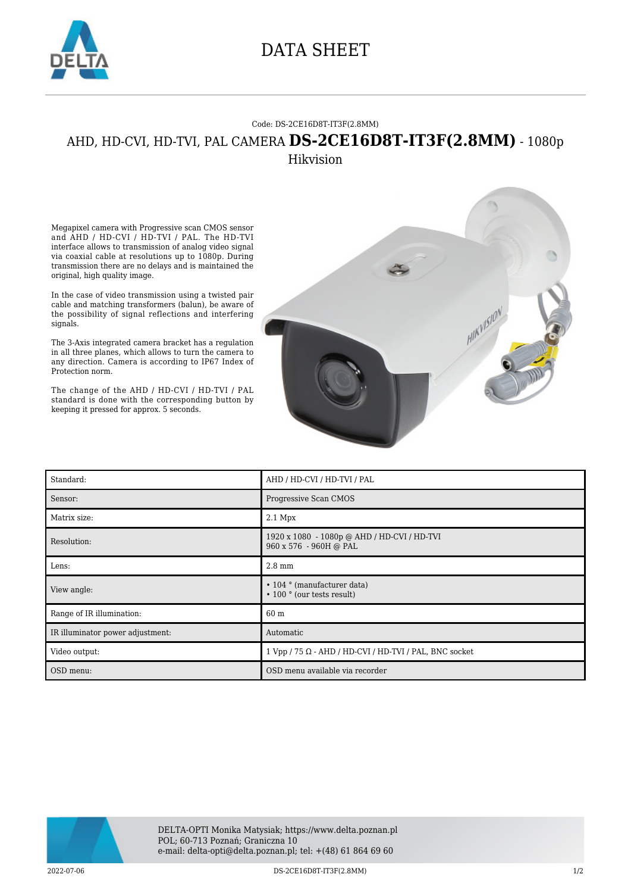

## DATA SHEET

## Code: DS-2CE16D8T-IT3F(2.8MM)

## AHD, HD-CVI, HD-TVI, PAL CAMERA **DS-2CE16D8T-IT3F(2.8MM)** - 1080p Hikvision

Megapixel camera with Progressive scan CMOS sensor and AHD / HD-CVI / HD-TVI / PAL. The HD-TVI interface allows to transmission of analog video signal via coaxial cable at resolutions up to 1080p. During transmission there are no delays and is maintained the original, high quality image.

In the case of video transmission using a twisted pair cable and matching transformers (balun), be aware of the possibility of signal reflections and interfering signals.

The 3-Axis integrated camera bracket has a regulation in all three planes, which allows to turn the camera to any direction. Camera is according to IP67 Index of Protection norm.

The change of the AHD / HD-CVI / HD-TVI / PAL standard is done with the corresponding button by keeping it pressed for approx. 5 seconds.



| Standard:                        | AHD / HD-CVI / HD-TVI / PAL                                                         |
|----------------------------------|-------------------------------------------------------------------------------------|
| Sensor:                          | Progressive Scan CMOS                                                               |
| Matrix size:                     | $2.1$ Mpx                                                                           |
| Resolution:                      | 1920 x 1080 - 1080p @ AHD / HD-CVI / HD-TVI<br>960 x 576 - 960H @ PAL               |
| Lens:                            | $2.8 \text{ mm}$                                                                    |
| View angle:                      | $\cdot$ 104 $\circ$ (manufacturer data)<br>$\cdot$ 100 $\degree$ (our tests result) |
| Range of IR illumination:        | 60 m                                                                                |
| IR illuminator power adjustment: | Automatic                                                                           |
| Video output:                    | $1$ Vpp / 75 $\Omega$ - AHD / HD-CVI / HD-TVI / PAL, BNC socket                     |
| OSD menu:                        | OSD menu available via recorder                                                     |



2022-07-06 DS-2CE16D8T-IT3F(2.8MM) 1/2